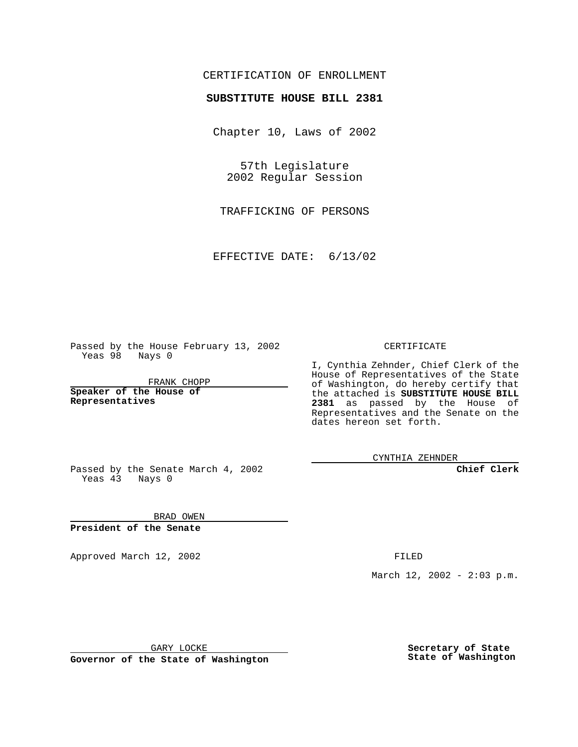## CERTIFICATION OF ENROLLMENT

## **SUBSTITUTE HOUSE BILL 2381**

Chapter 10, Laws of 2002

57th Legislature 2002 Regular Session

TRAFFICKING OF PERSONS

EFFECTIVE DATE: 6/13/02

Passed by the House February 13, 2002 Yeas 98 Nays 0

FRANK CHOPP

**Speaker of the House of Representatives**

CERTIFICATE

I, Cynthia Zehnder, Chief Clerk of the House of Representatives of the State of Washington, do hereby certify that the attached is **SUBSTITUTE HOUSE BILL 2381** as passed by the House of Representatives and the Senate on the dates hereon set forth.

CYNTHIA ZEHNDER

**Chief Clerk**

Passed by the Senate March 4, 2002 Yeas  $4\overline{3}$  Nays 0

BRAD OWEN **President of the Senate**

Approved March 12, 2002 **FILED** 

March 12, 2002 - 2:03 p.m.

GARY LOCKE

**Governor of the State of Washington**

**Secretary of State State of Washington**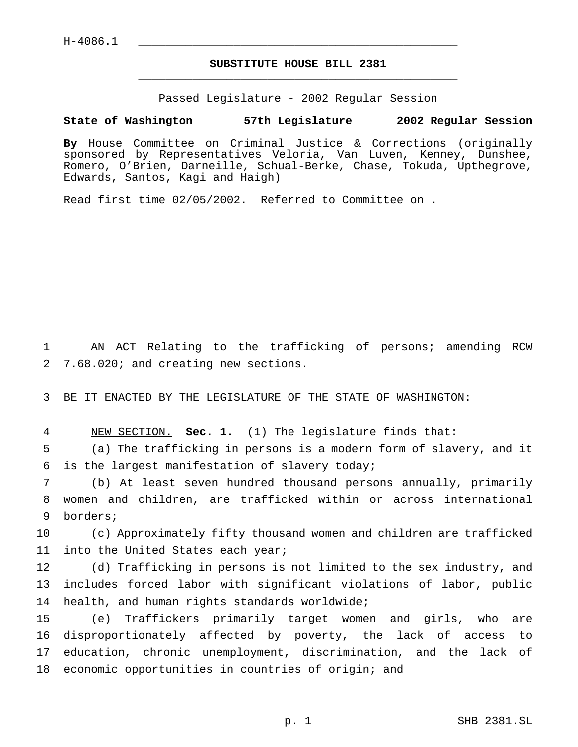## **SUBSTITUTE HOUSE BILL 2381** \_\_\_\_\_\_\_\_\_\_\_\_\_\_\_\_\_\_\_\_\_\_\_\_\_\_\_\_\_\_\_\_\_\_\_\_\_\_\_\_\_\_\_\_\_\_\_

Passed Legislature - 2002 Regular Session

## **State of Washington 57th Legislature 2002 Regular Session**

**By** House Committee on Criminal Justice & Corrections (originally sponsored by Representatives Veloria, Van Luven, Kenney, Dunshee, Romero, O'Brien, Darneille, Schual-Berke, Chase, Tokuda, Upthegrove, Edwards, Santos, Kagi and Haigh)

Read first time 02/05/2002. Referred to Committee on .

1 AN ACT Relating to the trafficking of persons; amending RCW 2 7.68.020; and creating new sections.

3 BE IT ENACTED BY THE LEGISLATURE OF THE STATE OF WASHINGTON:

4 NEW SECTION. **Sec. 1.** (1) The legislature finds that:

5 (a) The trafficking in persons is a modern form of slavery, and it 6 is the largest manifestation of slavery today;

7 (b) At least seven hundred thousand persons annually, primarily 8 women and children, are trafficked within or across international 9 borders;

10 (c) Approximately fifty thousand women and children are trafficked 11 into the United States each year;

12 (d) Trafficking in persons is not limited to the sex industry, and 13 includes forced labor with significant violations of labor, public 14 health, and human rights standards worldwide;

 (e) Traffickers primarily target women and girls, who are disproportionately affected by poverty, the lack of access to education, chronic unemployment, discrimination, and the lack of economic opportunities in countries of origin; and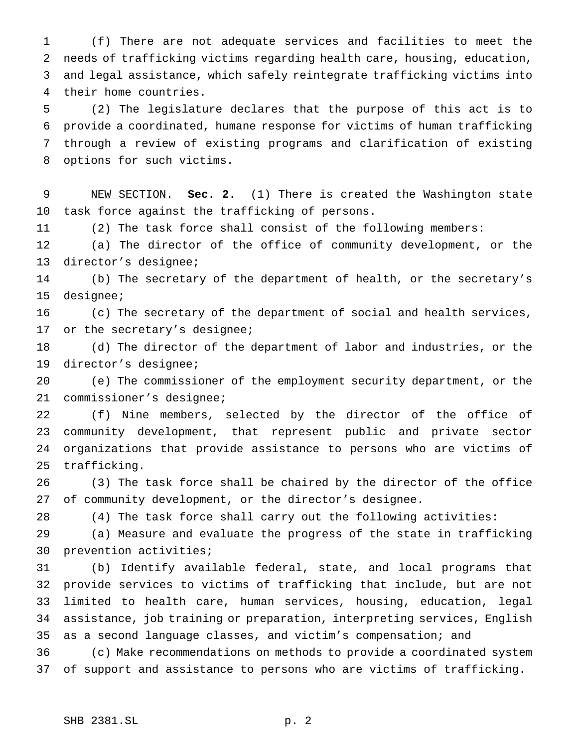(f) There are not adequate services and facilities to meet the needs of trafficking victims regarding health care, housing, education, and legal assistance, which safely reintegrate trafficking victims into their home countries.

 (2) The legislature declares that the purpose of this act is to provide a coordinated, humane response for victims of human trafficking through a review of existing programs and clarification of existing options for such victims.

 NEW SECTION. **Sec. 2.** (1) There is created the Washington state task force against the trafficking of persons.

(2) The task force shall consist of the following members:

 (a) The director of the office of community development, or the director's designee;

 (b) The secretary of the department of health, or the secretary's designee;

 (c) The secretary of the department of social and health services, or the secretary's designee;

 (d) The director of the department of labor and industries, or the director's designee;

 (e) The commissioner of the employment security department, or the commissioner's designee;

 (f) Nine members, selected by the director of the office of community development, that represent public and private sector organizations that provide assistance to persons who are victims of trafficking.

 (3) The task force shall be chaired by the director of the office of community development, or the director's designee.

(4) The task force shall carry out the following activities:

 (a) Measure and evaluate the progress of the state in trafficking prevention activities;

 (b) Identify available federal, state, and local programs that provide services to victims of trafficking that include, but are not limited to health care, human services, housing, education, legal assistance, job training or preparation, interpreting services, English as a second language classes, and victim's compensation; and

 (c) Make recommendations on methods to provide a coordinated system of support and assistance to persons who are victims of trafficking.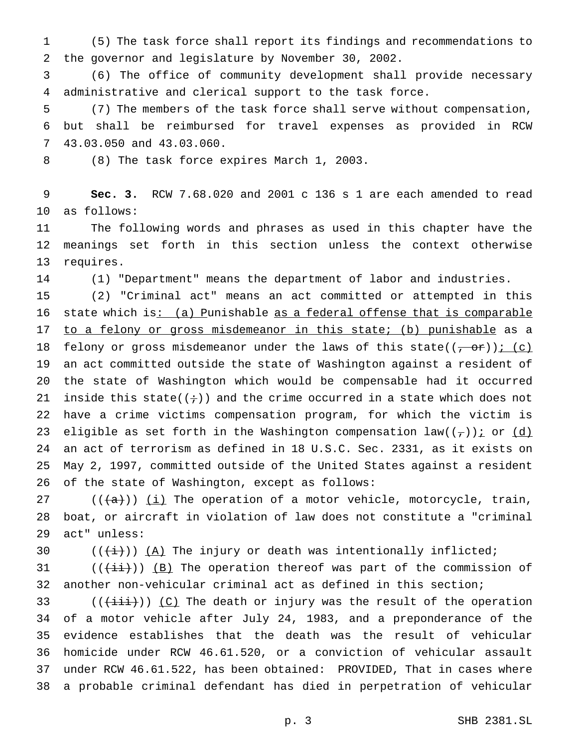(5) The task force shall report its findings and recommendations to the governor and legislature by November 30, 2002.

 (6) The office of community development shall provide necessary administrative and clerical support to the task force.

 (7) The members of the task force shall serve without compensation, but shall be reimbursed for travel expenses as provided in RCW 43.03.050 and 43.03.060.

(8) The task force expires March 1, 2003.

 **Sec. 3.** RCW 7.68.020 and 2001 c 136 s 1 are each amended to read as follows:

 The following words and phrases as used in this chapter have the meanings set forth in this section unless the context otherwise requires.

(1) "Department" means the department of labor and industries.

 (2) "Criminal act" means an act committed or attempted in this 16 state which is: (a) Punishable as a federal offense that is comparable 17 to a felony or gross misdemeanor in this state; (b) punishable as a 18 felony or gross misdemeanor under the laws of this state( $(-or)$ )  $(-c)$  an act committed outside the state of Washington against a resident of the state of Washington which would be compensable had it occurred 21 inside this state( $(+)$ ) and the crime occurred in a state which does not have a crime victims compensation program, for which the victim is 23 eligible as set forth in the Washington compensation law( $(\tau)$ ) i or  $(d)$  an act of terrorism as defined in 18 U.S.C. Sec. 2331, as it exists on May 2, 1997, committed outside of the United States against a resident of the state of Washington, except as follows:

27 ( $(\overline{\{a\}})$ ) <u>(i)</u> The operation of a motor vehicle, motorcycle, train, boat, or aircraft in violation of law does not constitute a "criminal act" unless:

30  $((\overleftrightarrow{t}))$   $(\overrightarrow{A})$  The injury or death was intentionally inflicted;

31  $((\overrightarrow{+i}))(B)$  The operation thereof was part of the commission of another non-vehicular criminal act as defined in this section;

33 ( $(\frac{1+i}{1+i})$ ) (C) The death or injury was the result of the operation of a motor vehicle after July 24, 1983, and a preponderance of the evidence establishes that the death was the result of vehicular homicide under RCW 46.61.520, or a conviction of vehicular assault under RCW 46.61.522, has been obtained: PROVIDED, That in cases where a probable criminal defendant has died in perpetration of vehicular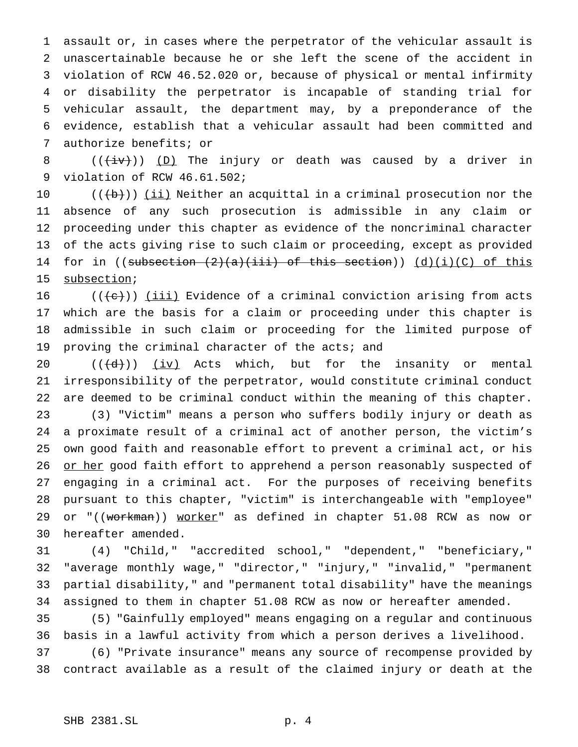assault or, in cases where the perpetrator of the vehicular assault is unascertainable because he or she left the scene of the accident in violation of RCW 46.52.020 or, because of physical or mental infirmity or disability the perpetrator is incapable of standing trial for vehicular assault, the department may, by a preponderance of the evidence, establish that a vehicular assault had been committed and authorize benefits; or

8 ( $(\overleftrightarrow{iv})$ ) (D) The injury or death was caused by a driver in violation of RCW 46.61.502;

 $((+b))$  ( $\underline{i}\underline{i}$ ) Neither an acquittal in a criminal prosecution nor the absence of any such prosecution is admissible in any claim or proceeding under this chapter as evidence of the noncriminal character of the acts giving rise to such claim or proceeding, except as provided 14 for in ((subsection  $(2)(a)(iii)$ ) of this section))  $(d)(i)(C)$  of this 15 subsection;

 $((\{e\})$  (iii) Evidence of a criminal conviction arising from acts which are the basis for a claim or proceeding under this chapter is admissible in such claim or proceeding for the limited purpose of proving the criminal character of the acts; and

 $((\{d\})$  (iv) Acts which, but for the insanity or mental irresponsibility of the perpetrator, would constitute criminal conduct are deemed to be criminal conduct within the meaning of this chapter. (3) "Victim" means a person who suffers bodily injury or death as a proximate result of a criminal act of another person, the victim's own good faith and reasonable effort to prevent a criminal act, or his 26 or her good faith effort to apprehend a person reasonably suspected of engaging in a criminal act. For the purposes of receiving benefits pursuant to this chapter, "victim" is interchangeable with "employee" 29 or "((<del>workman</del>)) worker" as defined in chapter 51.08 RCW as now or hereafter amended.

 (4) "Child," "accredited school," "dependent," "beneficiary," "average monthly wage," "director," "injury," "invalid," "permanent partial disability," and "permanent total disability" have the meanings assigned to them in chapter 51.08 RCW as now or hereafter amended.

 (5) "Gainfully employed" means engaging on a regular and continuous basis in a lawful activity from which a person derives a livelihood.

 (6) "Private insurance" means any source of recompense provided by contract available as a result of the claimed injury or death at the